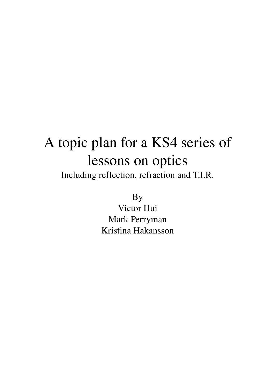# A topic plan for a KS4 series of lessons on optics

Including reflection, refraction and T.I.R.

By

Victor Hui Mark Perryman Kristina Hakansson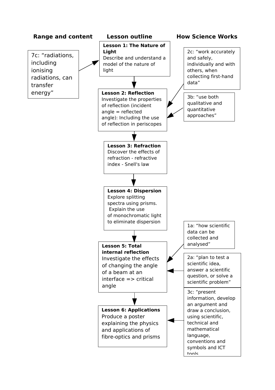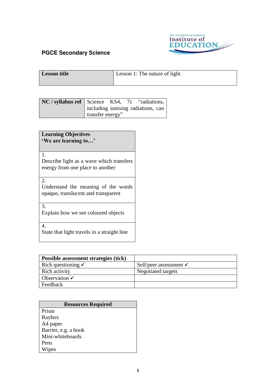

| Lesson title | Lesson 1: The nature of light |
|--------------|-------------------------------|
|              |                               |

| NC / syllabus ref   Science KS4, 7c "radiations, |                                    |  |  |  |
|--------------------------------------------------|------------------------------------|--|--|--|
|                                                  | including ionising radiations, can |  |  |  |
|                                                  | transfer energy"                   |  |  |  |

| <b>Learning Objectives</b>                  |  |  |
|---------------------------------------------|--|--|
| 'We are learning to'                        |  |  |
|                                             |  |  |
| $1_{-}$                                     |  |  |
| Describe light as a wave which transfers    |  |  |
| energy from one place to another            |  |  |
|                                             |  |  |
| 2.                                          |  |  |
| Understand the meaning of the words         |  |  |
| opaque, translucent and transparent         |  |  |
|                                             |  |  |
| 3.                                          |  |  |
| Explain how we see coloured objects         |  |  |
|                                             |  |  |
| $\mathbf{4}$                                |  |  |
| State that light travels in a straight line |  |  |
|                                             |  |  |

| Possible assessment strategies (tick) |                                   |
|---------------------------------------|-----------------------------------|
| Rich questioning $\checkmark$         | Self/peer assessment $\checkmark$ |
| Rich activity                         | Negotiated targets                |
| Observation $\checkmark$              |                                   |
| Feedback                              |                                   |

| <b>Resources Required</b> |
|---------------------------|
| Prism                     |
| Raybox                    |
| A4 paper                  |
| Barrier, e.g. a book      |
| Mini-whiteboards          |
| Pens                      |
| Wipes                     |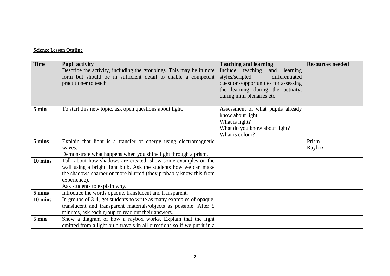| <b>Time</b>      | <b>Pupil activity</b><br>Describe the activity, including the groupings. This may be in note<br>form but should be in sufficient detail to enable a competent<br>practitioner to teach                                                                          | <b>Teaching and learning</b><br>Include teaching<br>and<br>learning<br>styles/scripted<br>differentiated<br>questions/opportunities for assessing<br>the learning during the activity,<br>during mini plenaries etc | <b>Resources needed</b> |
|------------------|-----------------------------------------------------------------------------------------------------------------------------------------------------------------------------------------------------------------------------------------------------------------|---------------------------------------------------------------------------------------------------------------------------------------------------------------------------------------------------------------------|-------------------------|
| $5 \text{ min}$  | To start this new topic, ask open questions about light.                                                                                                                                                                                                        | Assessment of what pupils already<br>know about light.<br>What is light?<br>What do you know about light?<br>What is colour?                                                                                        |                         |
| 5 mins           | Explain that light is a transfer of energy using electromagnetic<br>waves.<br>Demonstrate what happens when you shine light through a prism.                                                                                                                    |                                                                                                                                                                                                                     | Prism<br>Raybox         |
| 10 mins          | Talk about how shadows are created; show some examples on the<br>wall using a bright light bulb. Ask the students how we can make<br>the shadows sharper or more blurred (they probably know this from<br>experience).<br>Ask students to explain why.          |                                                                                                                                                                                                                     |                         |
| 5 mins           | Introduce the words opaque, translucent and transparent.                                                                                                                                                                                                        |                                                                                                                                                                                                                     |                         |
| 10 mins<br>5 min | In groups of 3-4, get students to write as many examples of opaque,<br>translucent and transparent materials/objects as possible. After 5<br>minutes, ask each group to read out their answers.<br>Show a diagram of how a raybox works. Explain that the light |                                                                                                                                                                                                                     |                         |
|                  | emitted from a light bulb travels in all directions so if we put it in a                                                                                                                                                                                        |                                                                                                                                                                                                                     |                         |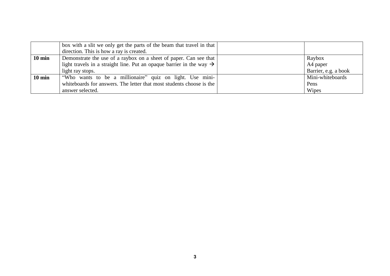|                  | box with a slit we only get the parts of the beam that travel in that  <br>direction. This is how a ray is created. |                      |
|------------------|---------------------------------------------------------------------------------------------------------------------|----------------------|
| $10 \text{ min}$ | Demonstrate the use of a raybox on a sheet of paper. Can see that                                                   | Raybox               |
|                  | light travels in a straight line. Put an opaque barrier in the way $\rightarrow$                                    | A4 paper             |
|                  | light ray stops.                                                                                                    | Barrier, e.g. a book |
| $10 \text{ min}$ | "Who wants to be a millionaire" quiz on light. Use mini-                                                            | Mini-whiteboards     |
|                  | whiteboards for answers. The letter that most students choose is the                                                | Pens                 |
|                  | answer selected.                                                                                                    | Wipes                |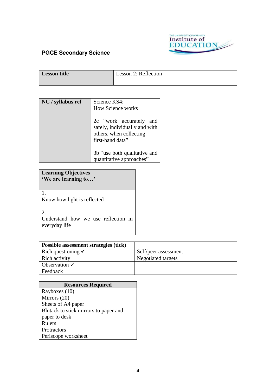

| Lesson title | Lesson 2: Reflection |
|--------------|----------------------|
|              |                      |

| NC / syllabus ref | Science KS4:<br><b>How Science works</b><br>2c "work accurately<br>and       |  |
|-------------------|------------------------------------------------------------------------------|--|
|                   | safely, individually and with<br>others, when collecting<br>first-hand data" |  |
|                   | 3b "use both qualitative and<br>quantitative approaches"                     |  |

### **Learning Objectives 'We are learning to…'**

Know how light is reflected

2.

1.

Understand how we use reflection in everyday life

| Possible assessment strategies (tick) |                      |
|---------------------------------------|----------------------|
| Rich questioning $\checkmark$         | Self/peer assessment |
| Rich activity                         | Negotiated targets   |
| Observation $\checkmark$              |                      |
| Feedback                              |                      |

| <b>Resources Required</b>             |  |  |  |
|---------------------------------------|--|--|--|
| Rayboxes (10)                         |  |  |  |
| Mirrors (20)                          |  |  |  |
| Sheets of A4 paper                    |  |  |  |
| Blutack to stick mirrors to paper and |  |  |  |
| paper to desk                         |  |  |  |
| <b>Rulers</b>                         |  |  |  |
| <b>Protractors</b>                    |  |  |  |
| Periscope worksheet                   |  |  |  |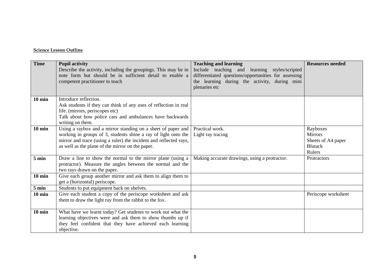| <b>Time</b>      | <b>Pupil activity</b><br>Describe the activity, including the groupings. This may be in<br>note form but should be in sufficient detail to enable a<br>competent practitioner to teach                                                                  | <b>Teaching and learning</b><br>Include teaching and learning styles/scripted<br>differentiated questions/opportunities for assessing<br>the learning during the activity, during mini<br>plenaries etc | <b>Resources needed</b>                                                      |
|------------------|---------------------------------------------------------------------------------------------------------------------------------------------------------------------------------------------------------------------------------------------------------|---------------------------------------------------------------------------------------------------------------------------------------------------------------------------------------------------------|------------------------------------------------------------------------------|
| $10 \text{ min}$ | Introduce reflection.<br>Ask students if they can think of any uses of reflection in real<br>life. (mirrors, periscopes etc)<br>Talk about how police cars and ambulances have backwards<br>writing on them.                                            |                                                                                                                                                                                                         |                                                                              |
| $10 \text{ min}$ | Using a raybox and a mirror standing on a sheet of paper and<br>working in groups of 3, students shine a ray of light onto the<br>mirror and trace (using a ruler) the incident and reflected rays,<br>as well as the plane of the mirror on the paper. | Practical work.<br>Light ray tracing                                                                                                                                                                    | Rayboxes<br><b>Mirrors</b><br>Sheets of A4 paper<br><b>Blutack</b><br>Rulers |
| $5 \text{ min}$  | Draw a line to show the normal to the mirror plane (using a<br>protractor). Measure the angles between the normal and the<br>two rays drawn on the paper.                                                                                               | Making accurate drawings, using a protractor.                                                                                                                                                           | <b>Protractors</b>                                                           |
| $10 \text{ min}$ | Give each group another mirror and ask them to align them to<br>get a (horizontal) periscope.                                                                                                                                                           |                                                                                                                                                                                                         |                                                                              |
| 5 min            | Students to put equipment back on shelves.                                                                                                                                                                                                              |                                                                                                                                                                                                         |                                                                              |
| $10 \text{ min}$ | Give each student a copy of the periscope worksheet and ask<br>them to draw the light ray from the rabbit to the fox.                                                                                                                                   |                                                                                                                                                                                                         | Periscope worksheet                                                          |
| $10 \text{ min}$ | What have we learnt today? Get students to work out what the<br>learning objectives were and ask them to show thumbs up if<br>they feel confident that they have achieved each learning<br>objective.                                                   |                                                                                                                                                                                                         |                                                                              |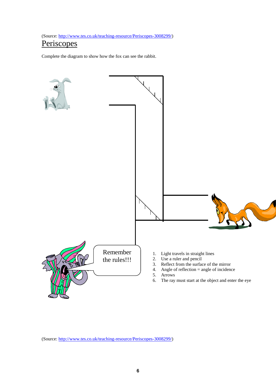(Source: [http://www.tes.co.uk/teaching-resource/Periscopes-3008299/\)](http://www.tes.co.uk/teaching-resource/Periscopes-3008299/)

## **Periscopes**

Complete the diagram to show how the fox can see the rabbit.



(Source: [http://www.tes.co.uk/teaching-resource/Periscopes-3008299/\)](http://www.tes.co.uk/teaching-resource/Periscopes-3008299/)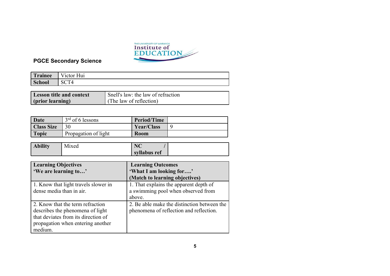

| Trainee | $\mathbf{v}$<br>Victor Hui |
|---------|----------------------------|
| School  |                            |

| <b>Lesson title and context</b> | Snell's law: the law of refraction |
|---------------------------------|------------------------------------|
| (prior learning)                | (The law of reflection)            |

| Date              | $3rd$ of 6 lessons   | <b>Period/Time</b> |  |
|-------------------|----------------------|--------------------|--|
| <b>Class Size</b> |                      | <b>Year/Class</b>  |  |
| <b>Topic</b>      | Propagation of light | <b>Room</b>        |  |

| <b>Ability</b> | .<br><b>Mixed</b> | $\mathbf{N}$ $\mathbf{C}$<br>$\rightarrow$ |  |
|----------------|-------------------|--------------------------------------------|--|
|                |                   | syllabus ref                               |  |

| <b>Learning Objectives</b>           | <b>Learning Outcomes</b>                    |
|--------------------------------------|---------------------------------------------|
| 'We are learning to'                 | 'What I am looking for'                     |
|                                      | (Match to learning objectives)              |
| 1. Know that light travels slower in | 1. That explains the apparent depth of      |
| dense media than in air.             | a swimming pool when observed from          |
|                                      | above.                                      |
| 2. Know that the term refraction     | 2. Be able make the distinction between the |
| describes the phenomena of light     | phenomena of reflection and reflection.     |
| that deviates from its direction of  |                                             |
| propagation when entering another    |                                             |
| medium.                              |                                             |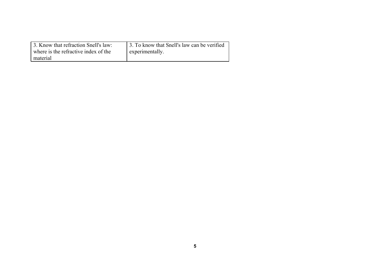| 3. Know that refraction Snell's law:<br>where is the refractive index of the<br>material | 3. To know that Snell's law can be verified<br>experimentally. |
|------------------------------------------------------------------------------------------|----------------------------------------------------------------|
|                                                                                          |                                                                |
|                                                                                          |                                                                |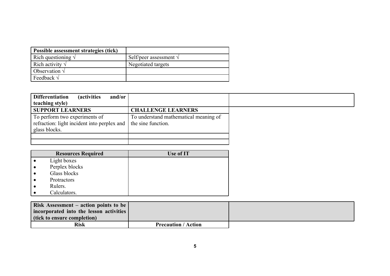| Possible assessment strategies (tick) |                                 |
|---------------------------------------|---------------------------------|
| Rich questioning $\sqrt{}$            | Self/peer assessment $\sqrt{ }$ |
| Rich activity $\sqrt{}$               | Negotiated targets              |
| Observation $\sqrt{}$                 |                                 |
| Feedback $\sqrt{}$                    |                                 |

| and/or<br><b>Differentiation</b><br><i>(activities)</i><br>teaching style)                    |                                                             |
|-----------------------------------------------------------------------------------------------|-------------------------------------------------------------|
| <b>SUPPORT LEARNERS</b>                                                                       | <b>CHALLENGE LEARNERS</b>                                   |
| To perform two experiments of<br>refraction: light incident into perplex and<br>glass blocks. | To understand mathematical meaning of<br>the sine function. |
|                                                                                               |                                                             |

| <b>Resources Required</b> | Use of IT |
|---------------------------|-----------|
| Light boxes               |           |
| Perplex blocks            |           |
| Glass blocks              |           |
| Protractors               |           |
| Rulers.                   |           |
| Calculators.              |           |

| <b>Risk Assessment – action points to be</b> |                            |  |
|----------------------------------------------|----------------------------|--|
| incorporated into the lesson activities      |                            |  |
| (tick to ensure completion)                  |                            |  |
| <b>Risk</b>                                  | <b>Precaution / Action</b> |  |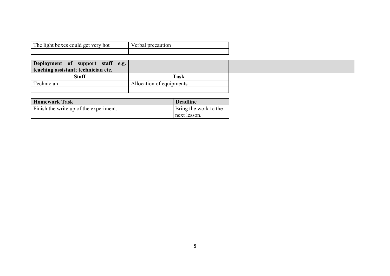| The light boxes could get very hot | Verbal precaution |
|------------------------------------|-------------------|
|                                    |                   |

| Deployment of support staff e.g.<br>teaching assistant; technician etc. |                          |  |
|-------------------------------------------------------------------------|--------------------------|--|
| <b>Staff</b>                                                            | Task                     |  |
| Technician                                                              | Allocation of equipments |  |
|                                                                         |                          |  |

| <b>Homework Task</b>                   | <b>Deadline</b>              |
|----------------------------------------|------------------------------|
| Finish the write up of the experiment. | <b>Bring the work to the</b> |
|                                        | next lesson.                 |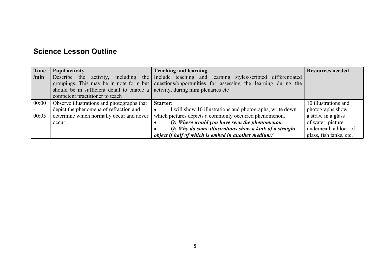| Time  | <b>Pupil activity</b>                                                                  | <b>Teaching and learning</b>                                                                          | <b>Resources needed</b> |
|-------|----------------------------------------------------------------------------------------|-------------------------------------------------------------------------------------------------------|-------------------------|
| /min  | activity,<br>Describe<br>the<br>including the                                          | Include teaching and learning styles/scripted differentiated                                          |                         |
|       |                                                                                        | groupings. This may be in note form but questions/opportunities for assessing the learning during the |                         |
|       | should be in sufficient detail to enable a $\vert$ activity, during mini plenaries etc |                                                                                                       |                         |
|       | competent practitioner to teach                                                        |                                                                                                       |                         |
| 00:00 | Observe illustrations and photographs that                                             | <b>Starter:</b>                                                                                       | 10 illustrations and    |
|       | depict the phenomena of refraction and                                                 | I will show 10 illustrations and photographs, write down                                              | photographs show        |
| 00:05 | determine which normally occur and never                                               | which pictures depicts a commonly occurred phenomenon.                                                | a straw in a glass      |
|       | occur.                                                                                 | Q: Where would you have seen the phenomenon.                                                          | of water, picture       |
|       |                                                                                        | Q: Why do some illustrations show a kink of a straight                                                | underneath a block of   |
|       |                                                                                        | object if half of which is embed in another medium?                                                   | glass, fish tanks, etc. |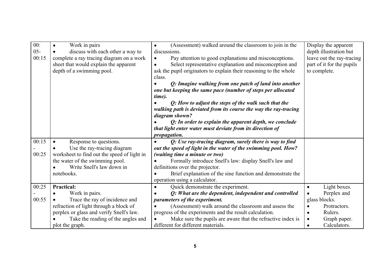| 00:    | Work in pairs<br>$\bullet$                  | (Assessment) walked around the classroom to join in the           | Display the apparent      |
|--------|---------------------------------------------|-------------------------------------------------------------------|---------------------------|
| $05 -$ | discuss with each other a way to            | discussions.                                                      | depth illustration but    |
| 00:15  | complete a ray tracing diagram on a work    | Pay attention to good explanations and misconceptions.            | leave out the ray-tracing |
|        | sheet that would explain the apparent       | Select representative explanation and misconception and           | part of it for the pupils |
|        | depth of a swimming pool.                   | ask the pupil originators to explain their reasoning to the whole | to complete.              |
|        |                                             | class.                                                            |                           |
|        |                                             | Q: Imagine walking from one patch of land into another            |                           |
|        |                                             | one but keeping the same pace (number of steps per allocated      |                           |
|        |                                             | time).                                                            |                           |
|        |                                             | Q: How to adjust the steps of the walk such that the              |                           |
|        |                                             | walking path is deviated from its course the way the ray-tracing  |                           |
|        |                                             | diagram shown?                                                    |                           |
|        |                                             | $Q$ : In order to explain the apparent depth, we conclude         |                           |
|        |                                             | that light enter water must deviate from its direction of         |                           |
|        |                                             | propagation.                                                      |                           |
| 00:15  | Response to questions.<br>$\bullet$         | Q: Use ray-tracing diagram, surely there is way to find           |                           |
|        | Use the ray-tracing diagram                 | out the speed of light in the water of the swimming pool. How?    |                           |
| 00:25  | worksheet to find out the speed of light in | (waiting time a minute or two)                                    |                           |
|        | the water of the swimming pool.             | Formally introduce Snell's law: display Snell's law and           |                           |
|        | Write Snell's law down in                   | definitions over the projector.                                   |                           |
|        | notebooks.                                  | Brief explanation of the sine function and demonstrate the        |                           |
|        |                                             | operation using a calculator.                                     |                           |
| 00:25  | <b>Practical:</b>                           | Quick demonstrate the experiment.                                 | Light boxes.              |
|        | Work in pairs.                              | Q: What are the dependent, independent and controlled             | Perplex and               |
| 00:55  | Trace the ray of incidence and              | parameters of the experiment.                                     | glass blocks.             |
|        | refraction of light through a block of      | (Assessment) walk around the classroom and assess the             | Protractors.              |
|        | perplex or glass and verify Snell's law.    | progress of the experiments and the result calculation.           | Rulers.<br>$\bullet$      |
|        | Take the reading of the angles and          | Make sure the pupils are aware that the refractive index is       | Graph paper.<br>$\bullet$ |
|        | plot the graph.                             | different for different materials.                                | Calculators.<br>$\bullet$ |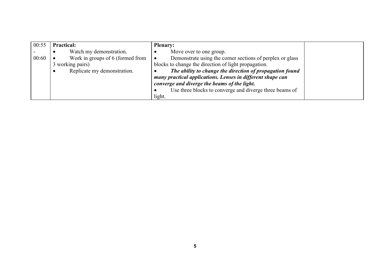| 00:55 | <b>Practical:</b>                | <b>Plenary:</b>                                            |  |
|-------|----------------------------------|------------------------------------------------------------|--|
|       | Watch my demonstration.          | Move over to one group.                                    |  |
| 00:60 | Work in groups of 6 (formed from | Demonstrate using the corner sections of perplex or glass  |  |
|       | 3 working pairs)                 | blocks to change the direction of light propagation.       |  |
|       | Replicate my demonstration.      | The ability to change the direction of propagation found   |  |
|       |                                  | many practical applications. Lenses in different shape can |  |
|       |                                  | converge and diverge the beams of the light.               |  |
|       |                                  | Use three blocks to converge and diverge three beams of    |  |
|       |                                  | light.                                                     |  |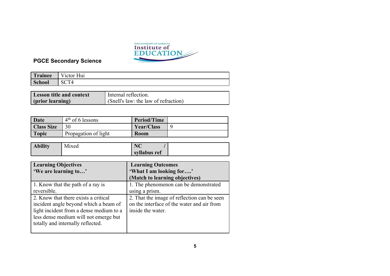

| Trainee | $\mathbf{v}$<br>Victor Hui |
|---------|----------------------------|
| School  |                            |

| <b>Lesson title and context</b> | Internal reflection.                        |
|---------------------------------|---------------------------------------------|
| (prior learning)                | $\int$ (Snell's law: the law of refraction) |

| Date              | $4th$ of 6 lessons   | <b>Period/Time</b> |  |
|-------------------|----------------------|--------------------|--|
| <b>Class Size</b> |                      | Year/Class         |  |
| <b>Topic</b>      | Propagation of light | <b>Room</b>        |  |

| <b>Ability</b> | $- \cdot$<br>Mixed | $\mathbf{N}$ $\mathbf{C}$<br>$\rightarrow$ |  |
|----------------|--------------------|--------------------------------------------|--|
|                |                    | syllabus ref                               |  |

| <b>Learning Objectives</b>              | <b>Learning Outcomes</b>                    |
|-----------------------------------------|---------------------------------------------|
| 'We are learning to'                    | 'What I am looking for'                     |
|                                         | (Match to learning objectives)              |
| 1. Know that the path of a ray is       | 1. The phenomenon can be demonstrated       |
| reversible.                             | using a prism.                              |
| 2. Know that there exists a critical    | 2. That the image of reflection can be seen |
| incident angle beyond which a beam of   | on the interface of the water and air from  |
| light incident from a dense medium to a | inside the water.                           |
| less dense medium will not emerge but   |                                             |
| totally and internally reflected.       |                                             |
|                                         |                                             |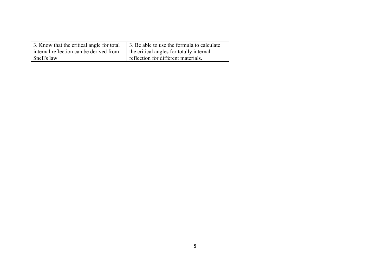| 3. Know that the critical angle for total | 3. Be able to use the formula to calculate |
|-------------------------------------------|--------------------------------------------|
| internal reflection can be derived from   | the critical angles for totally internal   |
| Snell's law                               | reflection for different materials.        |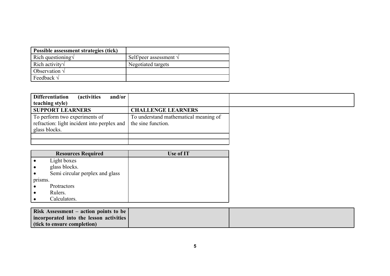| Possible assessment strategies (tick) |                                 |
|---------------------------------------|---------------------------------|
| Rich questioning $\sqrt$              | Self/peer assessment $\sqrt{ }$ |
| Rich activity $\sqrt$                 | Negotiated targets              |
| Observation $\sqrt{}$                 |                                 |
| Feedback $\sqrt{}$                    |                                 |

| <b>Differentiation</b><br>and/or<br><i>(activities)</i><br>teaching style)                    |                                                             |
|-----------------------------------------------------------------------------------------------|-------------------------------------------------------------|
| <b>SUPPORT LEARNERS</b>                                                                       | <b>CHALLENGE LEARNERS</b>                                   |
| To perform two experiments of<br>refraction: light incident into perplex and<br>glass blocks. | To understand mathematical meaning of<br>the sine function. |
|                                                                                               |                                                             |
|                                                                                               |                                                             |

| <b>Resources Required</b>       | Use of IT |
|---------------------------------|-----------|
| Light boxes                     |           |
| glass blocks.                   |           |
| Semi circular perplex and glass |           |
| prisms.                         |           |
| Protractors                     |           |
| Rulers.                         |           |
| Calculators.                    |           |

| Risk Assessment – action points to be $\vert$ |  |
|-----------------------------------------------|--|
| incorporated into the lesson activities       |  |
| (tick to ensure completion)                   |  |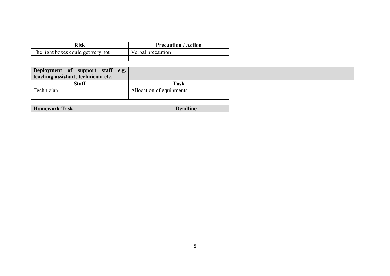| Risk                               | <b>Precaution / Action</b> |
|------------------------------------|----------------------------|
| The light boxes could get very hot | Verbal precaution          |
|                                    |                            |

| Deployment of support staff e.g.<br>teaching assistant; technician etc. |                          |  |
|-------------------------------------------------------------------------|--------------------------|--|
| <b>Staff</b>                                                            | <b>Task</b>              |  |
| Technician                                                              | Allocation of equipments |  |
|                                                                         |                          |  |

| <b>Homework Task</b> | <b>Deadline</b> |
|----------------------|-----------------|
|                      |                 |
|                      |                 |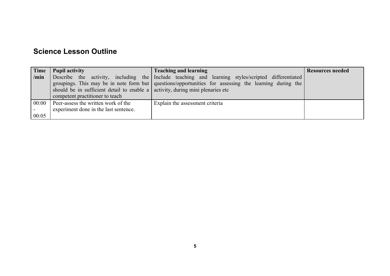| Time           | <b>Pupil activity</b>                                                                                                      | <b>Teaching and learning</b>                                                                                                                                                                                 | <b>Resources needed</b> |
|----------------|----------------------------------------------------------------------------------------------------------------------------|--------------------------------------------------------------------------------------------------------------------------------------------------------------------------------------------------------------|-------------------------|
| /min           | should be in sufficient detail to enable a $\alpha$ activity, during mini plenaries etc<br>competent practitioner to teach | Describe the activity, including the Include teaching and learning styles/scripted differentiated<br>groupings. This may be in note form but   questions/opportunities for assessing the learning during the |                         |
| 00:00<br>00:05 | Peer-assess the written work of the<br>experiment done in the last sentence.                                               | Explain the assessment criteria                                                                                                                                                                              |                         |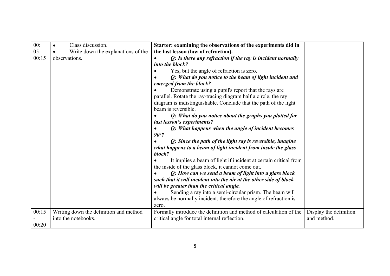| 00:<br>$05 -$<br>00:15 | Class discussion.<br>Write down the explanations of the<br>observations. | Starter: examining the observations of the experiments did in<br>the last lesson (law of refraction).<br>$Q$ : Is there any refraction if the ray is incident normally<br>into the block?<br>Yes, but the angle of refraction is zero.<br>Q: What do you notice to the beam of light incident and<br>emerged from the block?<br>Demonstrate using a pupil's report that the rays are<br>parallel. Rotate the ray-tracing diagram half a circle, the ray<br>diagram is indistinguishable. Conclude that the path of the light<br>beam is reversible.<br>Q: What do you notice about the graphs you plotted for<br>last lesson's experiments?<br>Q: What happens when the angle of incident becomes<br>90°?<br>Q: Since the path of the light ray is reversible, imagine<br>what happens to a beam of light incident from inside the glass<br>block?<br>It implies a beam of light if incident at certain critical from<br>the inside of the glass block, it cannot come out. |                                       |
|------------------------|--------------------------------------------------------------------------|-----------------------------------------------------------------------------------------------------------------------------------------------------------------------------------------------------------------------------------------------------------------------------------------------------------------------------------------------------------------------------------------------------------------------------------------------------------------------------------------------------------------------------------------------------------------------------------------------------------------------------------------------------------------------------------------------------------------------------------------------------------------------------------------------------------------------------------------------------------------------------------------------------------------------------------------------------------------------------|---------------------------------------|
|                        |                                                                          | Q: How can we send a beam of light into a glass block<br>such that it will incident into the air at the other side of block<br>will be greater than the critical angle.<br>Sending a ray into a semi-circular prism. The beam will<br>always be normally incident, therefore the angle of refraction is<br>zero.                                                                                                                                                                                                                                                                                                                                                                                                                                                                                                                                                                                                                                                            |                                       |
| 00:15<br>00:20         | Writing down the definition and method<br>into the notebooks.            | Formally introduce the definition and method of calculation of the<br>critical angle for total internal reflection.                                                                                                                                                                                                                                                                                                                                                                                                                                                                                                                                                                                                                                                                                                                                                                                                                                                         | Display the definition<br>and method. |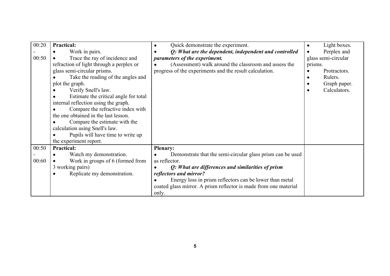| 00:20<br>00:50 | <b>Practical:</b><br>Work in pairs.<br>$\bullet$<br>Trace the ray of incidence and<br>$\bullet$<br>refraction of light through a perplex or<br>glass semi-circular prisms.<br>Take the reading of the angles and<br>plot the graph.<br>Verify Snell's law.<br>Estimate the critical angle for total<br>internal reflection using the graph.<br>Compare the refractive index with<br>the one obtained in the last lesson.<br>Compare the estimate with the<br>calculation using Snell's law.<br>Pupils will have time to write up | Quick demonstrate the experiment.<br>Q: What are the dependent, independent and controlled<br>parameters of the experiment.<br>(Assessment) walk around the classroom and assess the<br>progress of the experiments and the result calculation.                                                                       | Light boxes.<br>$\bullet$<br>Perplex and<br>glass semi-circular<br>prisms.<br>Protractors.<br>Rulers.<br>Graph paper.<br>$\bullet$<br>Calculators.<br>$\bullet$ |
|----------------|----------------------------------------------------------------------------------------------------------------------------------------------------------------------------------------------------------------------------------------------------------------------------------------------------------------------------------------------------------------------------------------------------------------------------------------------------------------------------------------------------------------------------------|-----------------------------------------------------------------------------------------------------------------------------------------------------------------------------------------------------------------------------------------------------------------------------------------------------------------------|-----------------------------------------------------------------------------------------------------------------------------------------------------------------|
|                | the experiment report.                                                                                                                                                                                                                                                                                                                                                                                                                                                                                                           |                                                                                                                                                                                                                                                                                                                       |                                                                                                                                                                 |
| 00:50<br>00:60 | <b>Practical:</b><br>Watch my demonstration.<br>Work in groups of 6 (formed from<br>3 working pairs)<br>Replicate my demonstration.                                                                                                                                                                                                                                                                                                                                                                                              | <b>Plenary:</b><br>Demonstrate that the semi-circular glass prism can be used<br>as reflector.<br>Q: What are differences and similarities of prism<br>reflectors and mirror?<br>Energy loss in prism reflectors can be lower than metal<br>coated glass mirror. A prism reflector is made from one material<br>only. |                                                                                                                                                                 |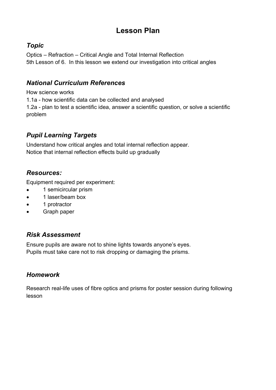## **Lesson Plan**

### *Topic*

Optics – Refraction – Critical Angle and Total Internal Reflection 5th Lesson of 6. In this lesson we extend our investigation into critical angles

## *National Curriculum References*

How science works

1.1a - how scientific data can be collected and analysed

1.2a - plan to test a scientific idea, answer a scientific question, or solve a scientific problem

## *Pupil Learning Targets*

Understand how critical angles and total internal reflection appear. Notice that internal reflection effects build up gradually

## *Resources:*

Equipment required per experiment:

- 1 semicircular prism
- 1 laser/beam box
- 1 protractor
- Graph paper

### *Risk Assessment*

Ensure pupils are aware not to shine lights towards anyone's eyes. Pupils must take care not to risk dropping or damaging the prisms.

## *Homework*

Research real-life uses of fibre optics and prisms for poster session during following lesson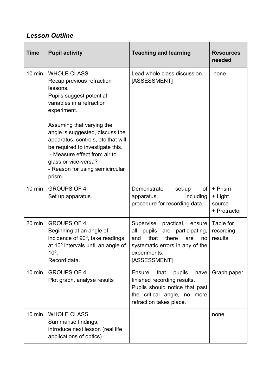## *Lesson Outline*

| <b>Time</b>      | <b>Pupil activity</b>                                                                                                                                                                                                                       | <b>Teaching and learning</b>                                                                                                                                                  | <b>Resources</b><br>needed                   |
|------------------|---------------------------------------------------------------------------------------------------------------------------------------------------------------------------------------------------------------------------------------------|-------------------------------------------------------------------------------------------------------------------------------------------------------------------------------|----------------------------------------------|
| $10 \text{ min}$ | <b>WHOLE CLASS</b><br>Recap previous refraction<br>lessons.<br>Pupils suggest potential<br>variables in a refraction<br>experiment.                                                                                                         | Lead whole class discussion.<br>[ASSESSMENT]                                                                                                                                  | none                                         |
|                  | Assuming that varying the<br>angle is suggested, discuss the<br>apparatus, controls, etc that will<br>be required to investigate this.<br>- Measure effect from air to<br>glass or vice-versa?<br>- Reason for using semicircular<br>prism. |                                                                                                                                                                               |                                              |
| $10 \text{ min}$ | <b>GROUPS OF 4</b><br>Set up apparatus.                                                                                                                                                                                                     | Demonstrate<br>set-up<br>of <sub>l</sub><br>including<br>apparatus,<br>procedure for recording data.                                                                          | + Prism<br>+ Light<br>source<br>+ Protractor |
| $20 \text{ min}$ | <b>GROUPS OF 4</b><br>Beginning at an angle of<br>incidence of 90°, take readings<br>at 10° intervals until an angle of<br>$10o$ .<br>Record data.                                                                                          | Supervise<br>practical,<br>ensure<br>are participating,<br>all pupils<br>that<br>there<br>and<br>are<br>no<br>systematic errors in any of the<br>experiments.<br>[ASSESSMENT] | Table for<br>recording<br>results            |
| $10 \text{ min}$ | <b>GROUPS OF 4</b><br>Plot graph, analyse results                                                                                                                                                                                           | <b>Ensure</b><br>that<br>pupils<br>have<br>finished recording results.<br>Pupils should notice that past<br>the critical angle, no more<br>refraction takes place.            | Graph paper                                  |
| $10 \text{ min}$ | <b>WHOLE CLASS</b><br>Summarise findings,<br>introduce next lesson (real life<br>applications of optics)                                                                                                                                    |                                                                                                                                                                               | none                                         |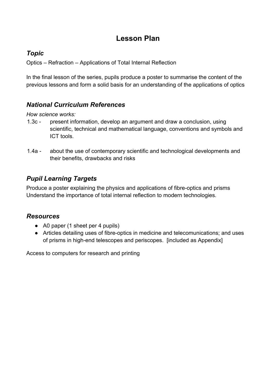## **Lesson Plan**

### *Topic*

Optics – Refraction – Applications of Total Internal Reflection

In the final lesson of the series, pupils produce a poster to summarise the content of the previous lessons and form a solid basis for an understanding of the applications of optics

### *National Curriculum References*

### *How science works:*

- 1.3c present information, develop an argument and draw a conclusion, using scientific, technical and mathematical language, conventions and symbols and ICT tools.
- 1.4a about the use of contemporary scientific and technological developments and their benefits, drawbacks and risks

## *Pupil Learning Targets*

Produce a poster explaining the physics and applications of fibre-optics and prisms Understand the importance of total internal reflection to modern technologies.

### *Resources*

- $\bullet$  A0 paper (1 sheet per 4 pupils)
- Articles detailing uses of fibre-optics in medicine and telecomunications; and uses of prisms in high-end telescopes and periscopes. [included as Appendix]

Access to computers for research and printing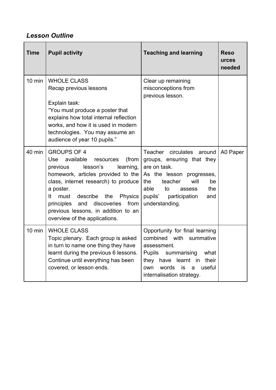## *Lesson Outline*

| <b>Time</b>      | <b>Pupil activity</b>                                                                                                                                                                                                                                                                                                                                                      | <b>Teaching and learning</b>                                                                                                                                                                                              | <b>Reso</b><br>urces<br>needed |
|------------------|----------------------------------------------------------------------------------------------------------------------------------------------------------------------------------------------------------------------------------------------------------------------------------------------------------------------------------------------------------------------------|---------------------------------------------------------------------------------------------------------------------------------------------------------------------------------------------------------------------------|--------------------------------|
| $10 \text{ min}$ | <b>WHOLE CLASS</b><br>Recap previous lessons<br>Explain task:<br>"You must produce a poster that<br>explains how total internal reflection<br>works, and how it is used in modern<br>technologies. You may assume an<br>audience of year 10 pupils."                                                                                                                       | Clear up remaining<br>misconceptions from<br>previous lesson.                                                                                                                                                             |                                |
| 40 min           | <b>GROUPS OF 4</b><br>available<br><b>Use</b><br>(from<br>resources<br>lesson's<br>learning,<br>previous<br>homework, articles provided to the<br>class, internet research) to produce<br>a poster.<br>It<br>describe<br>the<br>must<br><b>Physics</b><br>from<br>principles<br>and<br>discoveries<br>previous lessons, in addition to an<br>overview of the applications. | Teacher circulates<br>around<br>groups, ensuring that they<br>are on task.<br>As the lesson progresses,<br>teacher<br>will<br>the.<br>be<br>able<br>to<br>the<br>assess<br>pupils' participation<br>and<br>understanding. | A0 Paper                       |
| $10 \text{ min}$ | <b>WHOLE CLASS</b><br>Topic plenary. Each group is asked<br>in turn to name one thing they have<br>learnt during the previous 6 lessons.<br>Continue until everything has been<br>covered, or lesson ends.                                                                                                                                                                 | Opportunity for final learning<br>combined with summative<br>assessment.<br>Pupils summarising<br>what<br>they have learnt in their<br>words<br>is<br>useful<br>own<br>a<br>internalisation strategy.                     |                                |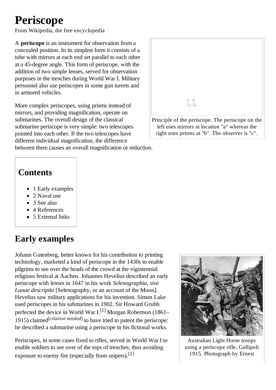# **Periscope**

From Wikipedia, the free encyclopedia

A periscope is an instrument for observation from a concealed position. In its simplest form it consists of a tube with mirrors at each end set parallel to each other at a 45-degree angle. This form of periscope, with the addition of two simple lenses, served for observation purposes in the trenches during World War I. Military personnel also use periscopes in some gun turrets and in armored vehicles.

More complex periscopes, using prisms instead of mirrors, and providing magnification, operate on submarines. The overall design of the classical submarine periscope is very simple: two telescopes pointed into each other. If the two telescopes have different individual magnification, the difference

between them causes an overall magnification or reduction.

## **Contents**

- $\blacksquare$  1 Early examples
- 2 Naval use
- $\blacksquare$  3 See also
- $\blacksquare$  4 References
- $\blacksquare$  5 External links

# **Early examples**

Johann Gutenberg, better known for his contribution to printing technology, marketed a kind of periscope in the 1430s to enable pilgrims to see over the heads of the crowd at the vigintennial religious festival at Aachen. Johannes Hevelius described an early periscope with lenses in 1647 in his work Selenographia, sive Lunae descriptio [Selenography, or an account of the Moon]. Hevelius saw military applications for his invention. Simon Lake used periscopes in his submarines in 1902. Sir Howard Grubb perfected the device in World War I.<sup>[1]</sup> Morgan Robertson (1861– 1915) claimed<sup>[citation needed]</sup> to have tried to patent the periscope: he described a submarine using a periscope in his fictional works.

Periscopes, in some cases fixed to rifles, served in World War I to enable soldiers to see over of the tops of trenches, thus avoiding exposure to enemy fire (especially from snipers).<sup>[2]</sup>



Australian Light Horse troops using a periscope rifle, Gallipoli 1915. Photograph by Ernest

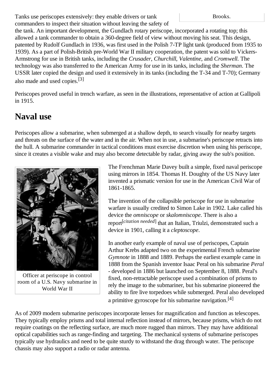Tanks use periscopes extensively: they enable drivers or tank commanders to inspect their situation without leaving the safety of Brooks.

the tank. An important development, the Gundlach rotary periscope, incorporated a rotating top; this allowed a tank commander to obtain a 360-degree field of view without moving his seat. This design, patented by Rudolf Gundlach in 1936, was first used in the Polish 7-TP light tank (produced from 1935 to 1939). As a part of Polish-British pre-World War II military cooperation, the patent was sold to Vickers-Armstrong for use in British tanks, including the Crusader, Churchill, Valentine, and Cromwell. The technology was also transferred to the American Army for use in its tanks, including the *Sherman*. The USSR later copied the design and used it extensively in its tanks (including the T-34 and T-70); Germany also made and used copies.<sup>[3]</sup>

Periscopes proved useful in trench warfare, as seen in the illustrations, representative of action at Gallipoli in 1915.

## **Naval use**

Periscopes allow a submarine, when submerged at a shallow depth, to search visually for nearby targets and threats on the surface of the water and in the air. When not in use, a submarine's periscope retracts into the hull. A submarine commander in tactical conditions must exercise discretion when using his periscope, since it creates a visible wake and may also become detectable by radar, giving away the sub's position.



Officer at periscope in control room of a U.S. Navy submarine in World War II

The Frenchman Marie Davey built a simple, fixed naval periscope using mirrors in 1854. Thomas H. Doughty of the US Navy later invented a prismatic version for use in the American Civil War of 1861-1865.

The invention of the collapsible periscope for use in submarine warfare is usually credited to Simon Lake in 1902. Lake called his device the omniscope or skalomniscope. There is also a report<sup>[citation needed]</sup> that an Italian, Triulzi, demonstrated such a device in 1901, calling it a *cleptoscope*.

In another early example of naval use of periscopes, Captain Arthur Krebs adapted two on the experimental French submarine Gymnote in 1888 and 1889. Perhaps the earliest example came in 1888 from the Spanish inventor Isaac Peral on his submarine Peral - developed in 1886 but launched on September 8, 1888. Peral's fixed, non-retractable periscope used a combination of prisms to rely the image to the submariner, but his submarine pioneered the ability to fire live torpedoes while submerged. Peral also developed a primitive gyroscope for his submarine navigation.<sup>[4]</sup>

As of 2009 modern submarine periscopes incorporate lenses for magnification and function as telescopes. They typically employ prisms and total internal reflection instead of mirrors, because prisms, which do not require coatings on the reflecting surface, are much more rugged than mirrors. They may have additional optical capabilities such as range-finding and targeting. The mechanical systems of submarine periscopes typically use hydraulics and need to be quite sturdy to withstand the drag through water. The periscope chassis may also support a radio or radar antenna.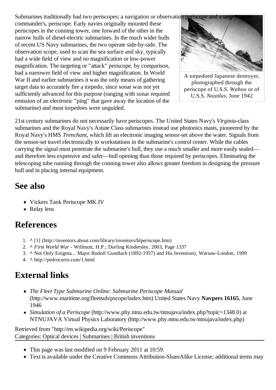Submarines traditionally had two periscopes; a navigation or observation periscope and a target

commander's, periscope. Early navies originally mounted these periscopes in the conning tower, one forward of the other in the narrow hulls of diesel-electric submarines. In the much wider hulls of recent US Navy submarines, the two operate side-by-side. The observation scope, used to scan the sea surface and sky, typically had a wide field of view and no magnification or low-power magnification. The targeting or "attack" periscope, by comparison, had a narrower field of view and higher magnification. In World War II and earlier submarines it was the only means of gathering target data to accurately fire a torpedo, since sonar was not yet sufficiently advanced for this purpose (ranging with sonar required emission of an electronic "ping" that gave away the location of the submarine) and most torpedoes were unguided.



A torpedoed Japanese destroyer, photographed through the periscope of U.S.S. Wahoo or of U.S.S. Nautilus. June 1942

21st century submarines do not necessarily have periscopes. The United States Navy's Virginia-class submarines and the Royal Navy's Astute Class submarines instead use photonics masts, pioneered by the Royal Navy's HMS Trenchant, which lift an electronic imaging sensor-set above the water. Signals from the sensor-set travel electronically to workstations in the submarine's control center. While the cables carrying the signal must penetrate the submarine's hull, they use a much smaller and more easily sealed and therefore less expensive and safer—hull opening than those required by periscopes. Eliminating the telescoping tube running through the conning tower also allows greater freedom in designing the pressure hull and in placing internal equipment.

## See also

- Vickers Tank Periscope MK.IV
- Relay lens

## **References**

- 1. ^ [1] (http://inventors.about.com/library/inventors/blperiscope.htm)
- 2. ^ First World War Willmott, H.P.; Dorling Kindersley, 2003, Page 1337
- 3. ^ Not Only Enigma... Major Rudolf Gundlach (1892-1957) and His Invention), Warsaw-London, 1999
- 4. A http://pedrocurto.com/1.html

## **External links**

- The Fleet Type Submarine Online: Submarine Periscope Manual (http://www.maritime.org/fleetsub/pscope/index.htm) United States Navy Navpers 16165. June 1946
- Simulation of a Periscope (http://www.phy.ntnu.edu.tw/ntnujava/index.php?topic=1348.0) at NTNUJAVA Virtual Physics Laboratory (http://www.phy.ntnu.edu.tw/ntnujava/index.php)

Retrieved from "http://en.wikipedia.org/wiki/Periscope" Categories: Optical devices | Submarines | British inventions

- This page was last modified on 9 February 2011 at 10:59.
- Text is available under the Creative Commons Attribution-ShareAlike License; additional terms may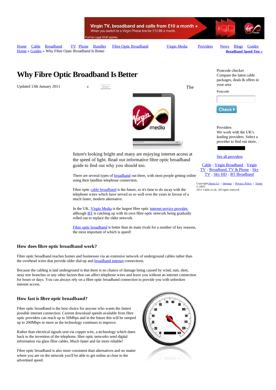

Virgin TV, broadband and calls from £10 a month » When you switch to a Virgin Phone line for £12.99 a month. rther Legal Stuff applies

Home Cable Broadband TV Phone Bundles Fibre Optic Broadband Virgin Media Providers News Blogs Guides Home » Guides » Why Fibre Optic Broadband Is Better

**Broadband Speed Test »**

## **Why Fibre Optic Broadband Is Better**

Updated 13th January 2011 **0 5hare** 

nedia

future's looking bright and many are enjoying internet access at the speed of light. Read our informative fibre optic broadband guide to find out why you should too.

There are several types of **broadband** out there, with most people getting online using their landline telephone connection.

Fibre optic cable broadband is the future, so it's time to do away with the telephone wires which have served us so well over the years in favour of a much faster, modern alternative.

In the UK, Virgin Media is the largest fibre optic internet service provider, although  $BT$  is catching up with its own fibre optic network being gradually rolled out to replace the older network.

Fibre optic broadband is better than its main rivals for a number of key reasons, the most important of which is speed!

#### **How does fibre optic broadband work?**

Fibre optic broadband reaches homes and businesses via an extensive network of underground cables rather than the overhead wires that provide older dial-up and **broadband internet** connections.

Because the cabling is laid underground is that there is no chance of damage being caused by wind, rain, sleet, stray tree branches or any other factors that can affect telephone wires and leave you without an internet connection for hours or days. You can always rely on a fibre optic broadband connection to provide you with unbroken internet access.

#### **How fast is fibre optic broadband?**

Fibre optic broadband is the best choice for anyone who wants the fastest possible internet connection. Current download speeds available from fibre optic providers can reach up to 50Mbps and in the future this will be ramped up to 200Mbps or more as the technology continues to improve.

Rather than electrical signals sent via copper wire, a technology which dates back to the invention of the telephone, fibre optic networks send digital information via glass fibre cables. Much faster and far more reliable!

Fibre optic broadband is also more consistent than alternatives and no matter where you are on the network you'll be able to get online at close to the advertised speed.



The

Compare the latest cable packages, deals & offers in your area Postcode

Postcode checker

Check >

Providers We work with the UK's leading providers. Select a provider to find out more.

See all providers

Cable <sup>|</sup> Virgin Broadband <sup>|</sup> Virgin TV <sup>|</sup> Broadband, TV & Phone <sup>|</sup> Sky TV <sup>|</sup> Sky HD <sup>|</sup> BT Broadband

Copyright **About Us** | Sitemap | Privacy Policy | Terms © 2005- 2011 Cable.co.uk. All rights reserved.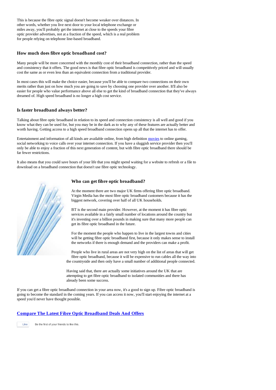This is because the fibre optic signal doesn't become weaker over distances. In other words, whether you live next door to your local telephone exchange or miles away, you'll probably get the internet at close to the speeds your fibre optic provider advertises, not at a fraction of the speed, which is a real problem for people relying on telephone line-based broadband.

#### **How much does fibre optic broadband cost?**

Many people will be more concerned with the monthly cost of their broadband connection, rather than the speed and consistency that it offers. The good news is that fibre optic broadband is competitively priced and will usually cost the same as or even less than an equivalent connection from a traditional provider.

In most cases this will make the choice easier, because you'll be able to compare two connections on their own merits rather than just on how much you are going to save by choosing one provider over another. It'll also be easier for people who value performance above all else to get the kind of broadband connection that they've always dreamed of. High speed broadband is no longer a high cost service.

#### **Is faster broadband always better?**

Talking about fibre optic broadband in relation to its speed and connection consistency is all well and good if you know what they can be used for, but you may be in the dark as to why any of these features are actually better and worth having. Getting access to a high speed broadband connection opens up all that the internet has to offer.

Entertainment and information of all kinds are available online, from high definition movies to online gaming, social networking to voice calls over your internet connection. If you have a sluggish service provider then you'll only be able to enjoy a fraction of this next generation of content, but with fibre optic broadband there should be far fewer restrictions.

It also means that you could save hours of your life that you might spend waiting for a website to refresh or a file to download on a broadband connection that doesn't use fibre optic technology.



#### **Who can get fibre optic broadband?**

At the moment there are two major UK firms offering fibre optic broadband. Virgin Media has the most fibre optic broadband customers because it has the biggest network, covering over half of all UK households.

BT is the second main provider. However, at the moment it has fibre optic services available in a fairly small number of locations around the country but it's investing over a billion pounds in making sure that many more people can get its fibre optic broadband in the future.

For the moment the people who happen to live in the largest towns and cities will be getting fibre optic broadband first, because it only makes sense to install the networks if there is enough demand and the providers can make a profit.

People who live in rural areas are not very high on the list of areas that will get fibre optic broadband, because it will be expensive to run cables all the way into the countryside and then only have a small number of additional people connected.

Having said that, there are actually some initiatives around the UK that are attempting to get fibre optic broadband to isolated communities and there has already been some success.

If you can get a fibre optic broadband connection in your area now, it's a good to sign up. Fibre optic broadband is going to become the standard in the coming years. If you can access it now, you'll start enjoying the internet at a speed you'd never have thought possible.

#### **Compare The Latest Fibre Optic Broadband Deals And Offers**

Like Be the first of your friends to like this.